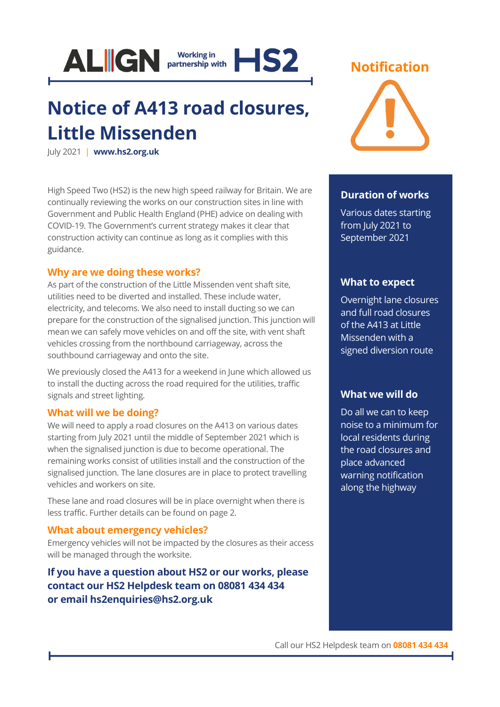

## **Notice of A413 road closures, Little Missenden**

July 2021 | **[www.hs2.org.uk](http://www.hs2.org.uk/)**

High Speed Two (HS2) is the new high speed railway for Britain. We are continually reviewing the works on our construction sites in line with Government and Public Health England (PHE) advice on dealing with COVID-19. The Government's current strategy makes it clear that construction activity can continue as long as it complies with this guidance.

#### **Why are we doing these works?**

As part of the construction of the Little Missenden vent shaft site, utilities need to be diverted and installed. These include water, electricity, and telecoms. We also need to install ducting so we can prepare for the construction of the signalised junction. This junction will mean we can safely move vehicles on and off the site, with vent shaft vehicles crossing from the northbound carriageway, across the southbound carriageway and onto the site.

We previously closed the A413 for a weekend in June which allowed us to install the ducting across the road required for the utilities, traffic signals and street lighting.

#### **What will we be doing?**

We will need to apply a road closures on the A413 on various dates starting from July 2021 until the middle of September 2021 which is when the signalised junction is due to become operational. The remaining works consist of utilities install and the construction of the signalised junction. The lane closures are in place to protect travelling vehicles and workers on site.

These lane and road closures will be in place overnight when there is less traffic. Further details can be found on page 2.

#### **What about emergency vehicles?**

Emergency vehicles will not be impacted by the closures as their access will be managed through the worksite.

### **If you have a question about HS2 or our works, please contact our HS2 Helpdesk team on 08081 434 434 or email hs2enquiries@hs2.org.uk**

### **Notification**



#### **Duration of works**

Various dates starting from July 2021 to September 2021

#### **What to expect**

Overnight lane closures and full road closures of the A413 at Little Missenden with a signed diversion route

#### **What we will do**

Do all we can to keep noise to a minimum for local residents during the road closures and place advanced warning notification along the highway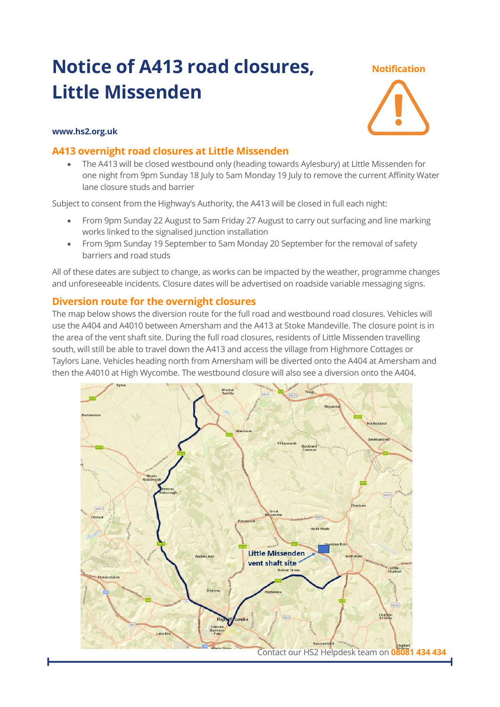### **Notice of A413 road closures, Little Missenden**

#### **Notification**

#### **www.hs2.org.uk**

#### **A413 overnight road closures at Little Missenden**

• The A413 will be closed westbound only (heading towards Aylesbury) at Little Missenden for one night from 9pm Sunday 18 July to 5am Monday 19 July to remove the current Affinity Water lane closure studs and barrier

Subject to consent from the Highway's Authority, the A413 will be closed in full each night:

- From 9pm Sunday 22 August to 5am Friday 27 August to carry out surfacing and line marking works linked to the signalised junction installation
- From 9pm Sunday 19 September to 5am Monday 20 September for the removal of safety barriers and road studs

All of these dates are subject to change, as works can be impacted by the weather, programme changes and unforeseeable incidents. Closure dates will be advertised on roadside variable messaging signs.

#### **Diversion route for the overnight closures**

The map below shows the diversion route for the full road and westbound road closures. Vehicles will use the A404 and A4010 between Amersham and the A413 at Stoke Mandeville. The closure point is in the area of the vent shaft site. During the full road closures, residents of Little Missenden travelling south, will still be able to travel down the A413 and access the village from Highmore Cottages or Taylors Lane. Vehicles heading north from Amersham will be diverted onto the A404 at Amersham and then the A4010 at High Wycombe. The westbound closure will also see a diversion onto the A404.

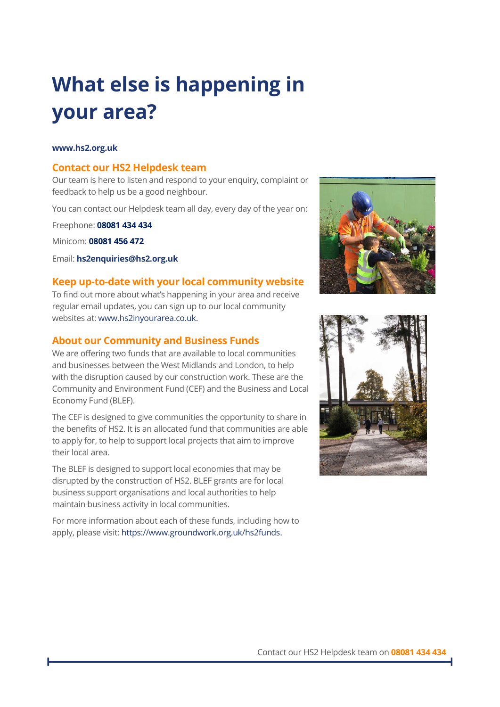# **What else is happening in your area?**

#### **www.hs2.org.uk**

#### **Contact our HS2 Helpdesk team**

Our team is here to listen and respond to your enquiry, complaint or feedback to help us be a good neighbour.

You can contact our Helpdesk team all day, every day of the year on:

Freephone: **08081 434 434**

Minicom: **08081 456 472**

Email: **[hs2enquiries@hs2.org.uk](mailto:hs2enquiries@hs2.org.uk)**

#### **Keep up-to-date with your local community website**

To find out more about what's happening in your area and receive regular email updates, you can sign up to our local community websites at: [www.hs2inyourarea.co.uk.](http://www.hs2inyourarea.co.uk/)

#### **About our Community and Business Funds**

We are offering two funds that are available to local communities and businesses between the West Midlands and London, to help with the disruption caused by our construction work. These are the Community and Environment Fund (CEF) and the Business and Local Economy Fund (BLEF).

The CEF is designed to give communities the opportunity to share in the benefits of HS2. It is an allocated fund that communities are able to apply for, to help to support local projects that aim to improve their local area.

The BLEF is designed to support local economies that may be disrupted by the construction of HS2. BLEF grants are for local business support organisations and local authorities to help maintain business activity in local communities.

For more information about each of these funds, including how to apply, please visit: [https://www.groundwork.org.uk/hs2funds.](https://www.groundwork.org.uk/hs2funds)